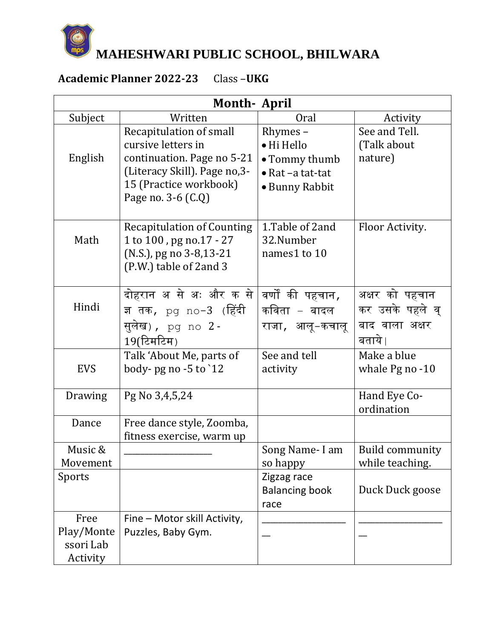

**MAHESHWARI PUBLIC SCHOOL, BHILWARA**

## **Academic Planner 2022-23** Class –**UKG**

| <b>Month-April</b> |                                                   |                           |                        |  |  |  |
|--------------------|---------------------------------------------------|---------------------------|------------------------|--|--|--|
| Subject            | Written                                           | <b>Oral</b>               | Activity               |  |  |  |
|                    | Recapitulation of small                           | Rhymes –                  | See and Tell.          |  |  |  |
|                    | cursive letters in                                | • Hi Hello                | (Talk about            |  |  |  |
| English            | continuation. Page no 5-21                        | • Tommy thumb             | nature)                |  |  |  |
|                    | (Literacy Skill). Page no, 3-                     | $\bullet$ Rat -a tat-tat  |                        |  |  |  |
|                    | 15 (Practice workbook)                            | • Bunny Rabbit            |                        |  |  |  |
|                    | Page no. 3-6 (C.Q)                                |                           |                        |  |  |  |
|                    |                                                   |                           |                        |  |  |  |
|                    | <b>Recapitulation of Counting</b>                 | 1. Table of 2 and         | Floor Activity.        |  |  |  |
| Math               | 1 to 100, pg no.17 - 27                           | 32.Number<br>names1 to 10 |                        |  |  |  |
|                    | (N.S.), pg no 3-8,13-21<br>(P.W.) table of 2and 3 |                           |                        |  |  |  |
|                    |                                                   |                           |                        |  |  |  |
|                    | दोहरान अ से अः और क से                            | वर्णों की पहचान <i>,</i>  | अक्षर को पहचान         |  |  |  |
| Hindi              | ज्ञ तक <i>,</i> pg no-3 (हिंदी                    | कविता – बादल              | कर उसके पहले व्        |  |  |  |
|                    | सुलेख) <b>,</b> pg no 2 -                         | राजा <i>,</i> आलू−कचालू   | बाद वाला अक्षर         |  |  |  |
|                    | $19$ (टिमटिम)                                     |                           | बताये।                 |  |  |  |
|                    | Talk 'About Me, parts of                          | See and tell              | Make a blue            |  |  |  |
| <b>EVS</b>         | body-pg no -5 to `12                              | activity                  | whale $Pg$ no $-10$    |  |  |  |
|                    |                                                   |                           |                        |  |  |  |
| Drawing            | Pg No 3,4,5,24                                    |                           | Hand Eye Co-           |  |  |  |
|                    |                                                   |                           | ordination             |  |  |  |
| Dance              | Free dance style, Zoomba,                         |                           |                        |  |  |  |
|                    | fitness exercise, warm up                         |                           |                        |  |  |  |
| Music &            |                                                   | Song Name-I am            | <b>Build community</b> |  |  |  |
| Movement           |                                                   | so happy                  | while teaching.        |  |  |  |
| Sports             |                                                   | Zigzag race               |                        |  |  |  |
|                    |                                                   | <b>Balancing book</b>     | Duck Duck goose        |  |  |  |
|                    |                                                   | race                      |                        |  |  |  |
| Free               | Fine - Motor skill Activity,                      |                           |                        |  |  |  |
| Play/Monte         | Puzzles, Baby Gym.                                |                           |                        |  |  |  |
| ssori Lab          |                                                   |                           |                        |  |  |  |
| Activity           |                                                   |                           |                        |  |  |  |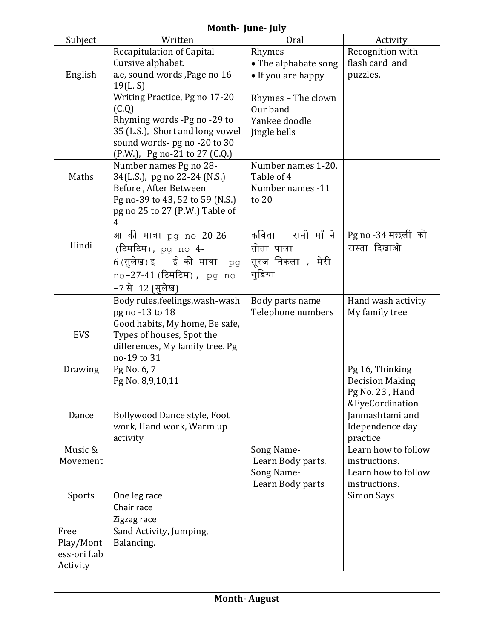| Month- June- July                                                               |                                                                                                                                                                                                                                        |                                |                                                                                                                                       |  |  |  |
|---------------------------------------------------------------------------------|----------------------------------------------------------------------------------------------------------------------------------------------------------------------------------------------------------------------------------------|--------------------------------|---------------------------------------------------------------------------------------------------------------------------------------|--|--|--|
| Subject                                                                         | Written                                                                                                                                                                                                                                | Oral                           | Activity                                                                                                                              |  |  |  |
|                                                                                 | Recapitulation of Capital                                                                                                                                                                                                              | Rhymes-                        | Recognition with                                                                                                                      |  |  |  |
|                                                                                 | Cursive alphabet.                                                                                                                                                                                                                      | • The alphabate song           | flash card and                                                                                                                        |  |  |  |
| English                                                                         | a,e, sound words , Page no 16-                                                                                                                                                                                                         | • If you are happy             | puzzles.                                                                                                                              |  |  |  |
|                                                                                 | 19(L, S)                                                                                                                                                                                                                               |                                |                                                                                                                                       |  |  |  |
|                                                                                 | Writing Practice, Pg no 17-20                                                                                                                                                                                                          | Rhymes - The clown             |                                                                                                                                       |  |  |  |
|                                                                                 | (C.Q)                                                                                                                                                                                                                                  | Our band                       |                                                                                                                                       |  |  |  |
|                                                                                 | Rhyming words -Pg no -29 to                                                                                                                                                                                                            | Yankee doodle                  |                                                                                                                                       |  |  |  |
|                                                                                 | 35 (L.S.), Short and long vowel                                                                                                                                                                                                        | Jingle bells                   |                                                                                                                                       |  |  |  |
|                                                                                 | sound words- pg no -20 to 30                                                                                                                                                                                                           |                                |                                                                                                                                       |  |  |  |
|                                                                                 | (P.W.), Pg no-21 to 27 (C.Q.)                                                                                                                                                                                                          |                                |                                                                                                                                       |  |  |  |
|                                                                                 | Number names Pg no 28-                                                                                                                                                                                                                 | Number names 1-20.             |                                                                                                                                       |  |  |  |
| Maths                                                                           | 34(L.S.), pg no 22-24 (N.S.)                                                                                                                                                                                                           | Table of 4                     |                                                                                                                                       |  |  |  |
|                                                                                 | Before, After Between                                                                                                                                                                                                                  | Number names -11               |                                                                                                                                       |  |  |  |
|                                                                                 | Pg no-39 to 43, 52 to 59 (N.S.)                                                                                                                                                                                                        | to $20$                        |                                                                                                                                       |  |  |  |
|                                                                                 | pg no 25 to 27 (P.W.) Table of<br>4                                                                                                                                                                                                    |                                |                                                                                                                                       |  |  |  |
|                                                                                 | आ की मात्रा pg no-20-26                                                                                                                                                                                                                | कविता – रानी माँ ने            | Pg no -34 मछली को                                                                                                                     |  |  |  |
| Hindi                                                                           | (टिमटिम), pg no 4-                                                                                                                                                                                                                     | तोता पाला                      | रास्ता दिखाओ                                                                                                                          |  |  |  |
|                                                                                 |                                                                                                                                                                                                                                        |                                |                                                                                                                                       |  |  |  |
|                                                                                 | $6$ (सुलेख) इ $-$ ई की मात्रा<br>pq                                                                                                                                                                                                    | सूरज निकला , मेरी              |                                                                                                                                       |  |  |  |
|                                                                                 | no-27-41 (टिमटिम), pg<br>no                                                                                                                                                                                                            | गुडिया                         |                                                                                                                                       |  |  |  |
|                                                                                 | −7 से  12 (सुलेख)                                                                                                                                                                                                                      |                                |                                                                                                                                       |  |  |  |
|                                                                                 | Body rules, feelings, wash-wash                                                                                                                                                                                                        | Body parts name                | Hand wash activity                                                                                                                    |  |  |  |
|                                                                                 | pg no -13 to 18                                                                                                                                                                                                                        | Telephone numbers              | My family tree                                                                                                                        |  |  |  |
|                                                                                 |                                                                                                                                                                                                                                        |                                |                                                                                                                                       |  |  |  |
|                                                                                 |                                                                                                                                                                                                                                        |                                |                                                                                                                                       |  |  |  |
|                                                                                 |                                                                                                                                                                                                                                        |                                |                                                                                                                                       |  |  |  |
|                                                                                 |                                                                                                                                                                                                                                        |                                |                                                                                                                                       |  |  |  |
|                                                                                 |                                                                                                                                                                                                                                        |                                |                                                                                                                                       |  |  |  |
|                                                                                 |                                                                                                                                                                                                                                        |                                |                                                                                                                                       |  |  |  |
|                                                                                 |                                                                                                                                                                                                                                        |                                |                                                                                                                                       |  |  |  |
| Dance                                                                           | Bollywood Dance style, Foot                                                                                                                                                                                                            |                                | Janmashtami and                                                                                                                       |  |  |  |
|                                                                                 | work, Hand work, Warm up                                                                                                                                                                                                               |                                | Idependence day                                                                                                                       |  |  |  |
|                                                                                 | activity                                                                                                                                                                                                                               |                                | practice                                                                                                                              |  |  |  |
| Music &                                                                         |                                                                                                                                                                                                                                        | Song Name-                     | Learn how to follow                                                                                                                   |  |  |  |
| Movement                                                                        |                                                                                                                                                                                                                                        | Learn Body parts.              | instructions.                                                                                                                         |  |  |  |
|                                                                                 |                                                                                                                                                                                                                                        |                                |                                                                                                                                       |  |  |  |
|                                                                                 |                                                                                                                                                                                                                                        |                                |                                                                                                                                       |  |  |  |
|                                                                                 |                                                                                                                                                                                                                                        |                                |                                                                                                                                       |  |  |  |
|                                                                                 |                                                                                                                                                                                                                                        |                                |                                                                                                                                       |  |  |  |
|                                                                                 |                                                                                                                                                                                                                                        |                                |                                                                                                                                       |  |  |  |
|                                                                                 |                                                                                                                                                                                                                                        |                                |                                                                                                                                       |  |  |  |
|                                                                                 |                                                                                                                                                                                                                                        |                                |                                                                                                                                       |  |  |  |
|                                                                                 |                                                                                                                                                                                                                                        |                                |                                                                                                                                       |  |  |  |
| <b>EVS</b><br>Drawing<br>Sports<br>Free<br>Play/Mont<br>ess-ori Lab<br>Activity | Good habits, My home, Be safe,<br>Types of houses, Spot the<br>differences, My family tree. Pg<br>no-19 to 31<br>Pg No. 6, 7<br>Pg No. 8,9,10,11<br>One leg race<br>Chair race<br>Zigzag race<br>Sand Activity, Jumping,<br>Balancing. | Song Name-<br>Learn Body parts | Pg 16, Thinking<br><b>Decision Making</b><br>Pg No. 23, Hand<br>&EyeCordination<br>Learn how to follow<br>instructions.<br>Simon Says |  |  |  |